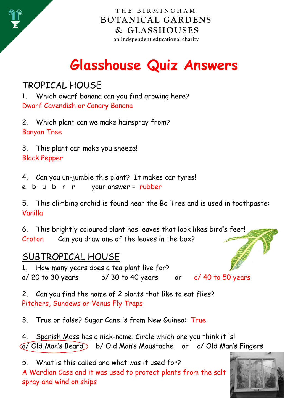

**THE BIRMINGHAM BOTANICAL GARDENS & GLASSHOUSES an independent educational charity** 

# **Glasshouse Quiz Answers**

# TROPICAL HOUSE

1. Which dwarf banana can you find growing here? Dwarf Cavendish or Canary Banana

2. Which plant can we make hairspray from? Banyan Tree

3. This plant can make you sneeze! Black Pepper

4. Can you un-jumble this plant? It makes car tyres!

e b u b r r your answer = rubber

5. This climbing orchid is found near the Bo Tree and is used in toothpaste: Vanilla

6. This brightly coloured plant has leaves that look likes bird's feet! Croton Can you draw one of the leaves in the box?

#### SUBTROPICAL HOUSE

1. How many years does a tea plant live for?  $a/$  20 to 30 years b/ 30 to 40 years or c/ 40 to 50 years

2. Can you find the name of 2 plants that like to eat flies? Pitchers, Sundews or Venus Fly Traps

3. True or false? Sugar Cane is from New Guinea: True

4. Spanish Moss has a nick-name. Circle which one you think it is! a/ Old Man's Beard b/ Old Man's Moustache or c/ Old Man's Fingers

5. What is this called and what was it used for? A Wardian Case and it was used to protect plants from the salt spray and wind on ships